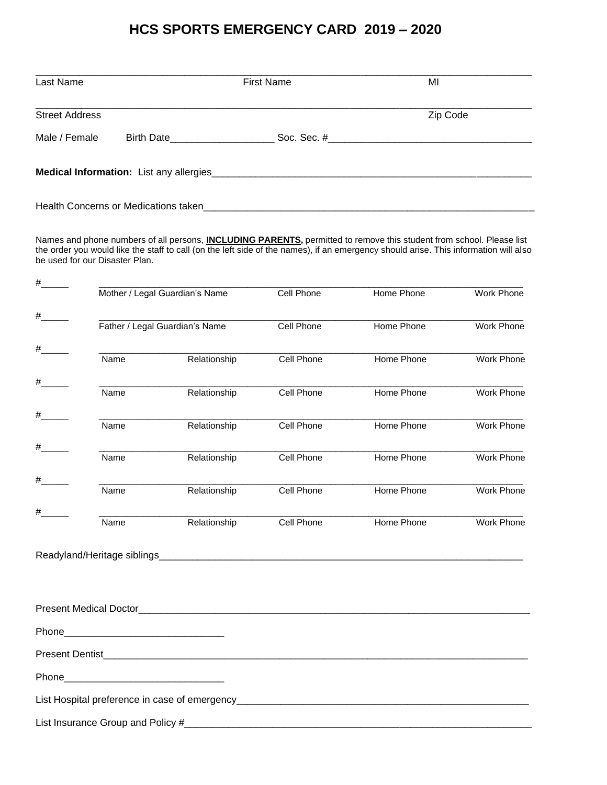## **HCS SPORTS EMERGENCY CARD 2019 – 2020**

| Last Name             | <b>First Name</b>                    |               | MI       |
|-----------------------|--------------------------------------|---------------|----------|
| <b>Street Address</b> |                                      |               | Zip Code |
| Male / Female         | <b>Birth Date Example 1</b>          | Soc. Sec. $#$ |          |
|                       |                                      |               |          |
|                       | Health Concerns or Medications taken |               |          |

Names and phone numbers of all persons, **INCLUDING PARENTS,** permitted to remove this student from school. Please list the order you would like the staff to call (on the left side of the names), if an emergency should arise. This information will also be used for our Disaster Plan.

| # |                                                                                                                |                                |            |            |                   |
|---|----------------------------------------------------------------------------------------------------------------|--------------------------------|------------|------------|-------------------|
|   |                                                                                                                | Mother / Legal Guardian's Name |            | Home Phone | Work Phone        |
| # |                                                                                                                |                                |            |            |                   |
|   | Father / Legal Guardian's Name                                                                                 |                                | Cell Phone | Home Phone | <b>Work Phone</b> |
|   |                                                                                                                |                                |            |            |                   |
|   | Name                                                                                                           | Relationship                   | Cell Phone | Home Phone | <b>Work Phone</b> |
| # | Name                                                                                                           | Relationship                   | Cell Phone | Home Phone | Work Phone        |
|   |                                                                                                                |                                |            |            |                   |
| # | Name                                                                                                           | Relationship                   | Cell Phone | Home Phone | <b>Work Phone</b> |
|   |                                                                                                                |                                |            |            |                   |
| # | Name                                                                                                           | Relationship                   | Cell Phone | Home Phone | <b>Work Phone</b> |
| # |                                                                                                                |                                |            |            |                   |
|   | Name                                                                                                           | Relationship                   | Cell Phone | Home Phone | Work Phone        |
| # |                                                                                                                |                                |            |            |                   |
|   | Name                                                                                                           | Relationship                   | Cell Phone | Home Phone | Work Phone        |
|   |                                                                                                                |                                |            |            |                   |
|   |                                                                                                                |                                |            |            |                   |
|   |                                                                                                                |                                |            |            |                   |
|   |                                                                                                                |                                |            |            |                   |
|   |                                                                                                                |                                |            |            |                   |
|   |                                                                                                                |                                |            |            |                   |
|   |                                                                                                                |                                |            |            |                   |
|   |                                                                                                                |                                |            |            |                   |
|   | Phone 2008 2010 2010 2021 2022 2023 2024 2022 2022 2023 2024 2022 2023 2024 2022 2023 2024 2025 2026 2027 2028 |                                |            |            |                   |
|   |                                                                                                                |                                |            |            |                   |
|   |                                                                                                                |                                |            |            |                   |
|   |                                                                                                                |                                |            |            |                   |